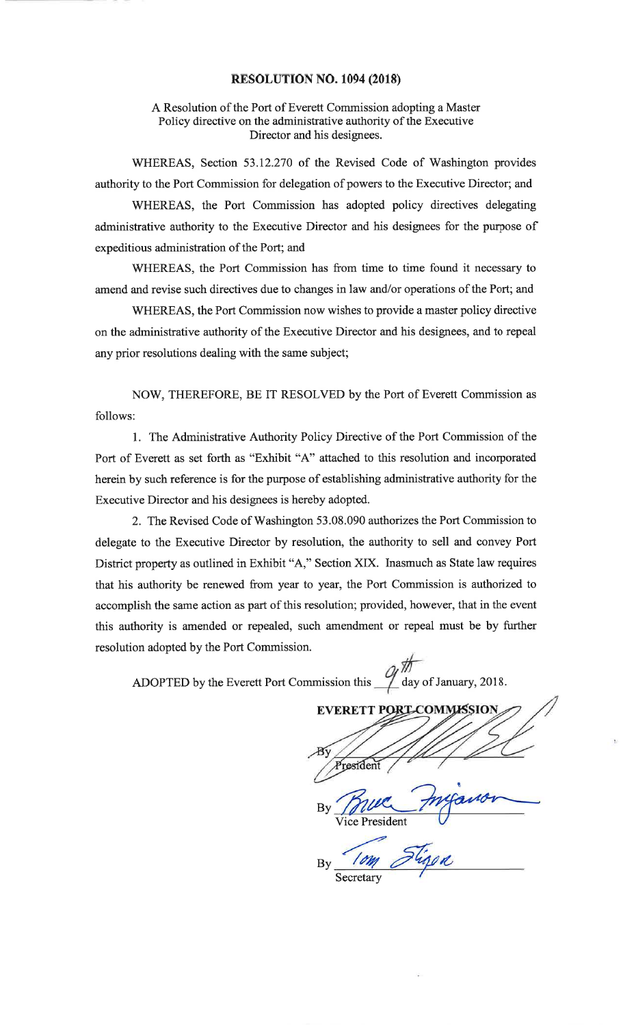### RESOLUTION NO. 1094 (2018)

### A Resolution of the Port of Everett Commission adopting a MasterPolicy directive on the administrative authority of the ExecutiveDirector and his designees.

WHEREAS, Section 53.12.270 of the Revised Code of Washington providesauthority to the Port Commission for delegation of powers to the Executive Director; and

WHEREAS, the Port Commission has adopted policy directives delegatingadministrative authority to the Executive Director and his designees for the purpose ofexpeditious administration of the Port; and

WHEREAS, the Port Commission has from time to time found it necessary toamend and revise such directives due to changes in law and/or operations of the Port; and

WHEREAS, the Port Commission now wishes to provide a master policy directiveon the administrative authority of the Executive Director and his designees, and to repeal any prior resolutions dealing with the same subject;

NOW, THEREFORE, BE IT RESOLVED by the Port of Everett Commission as follows:

l. The Administrative Authority Policy Directive of the Port Commission of thePort of Everett as set forth as "Exhibit "A" attached to this resolution and incorporatedherein by such reference is for the purpose of establishing administrative authority for theExecutive Director and his designees is hereby adopted.

2. The Revised Code of Washington 53.08.090 authorizes the Port Commission todelegate to the Executive Director by resolution, the authority to sell and convey Port District property as outlined in Exhibit "A," Section XIX. Inasmuch as State law requiresthat his authority be renewed from year to year, the Port Commission is authorized toaccomplish the same action as part of this resolution; provided, however, that in the eventthis authority is amended or repealed, such amendment or repeal must be by furtherresolution adopted by the Port Commission.

s  $\_\_$  day of January, 2018 ADOPTED by the Everett Port Commission this

**EVERETT PORT** COM resident tByVice PresidentBy

 $\#$ 

Secretary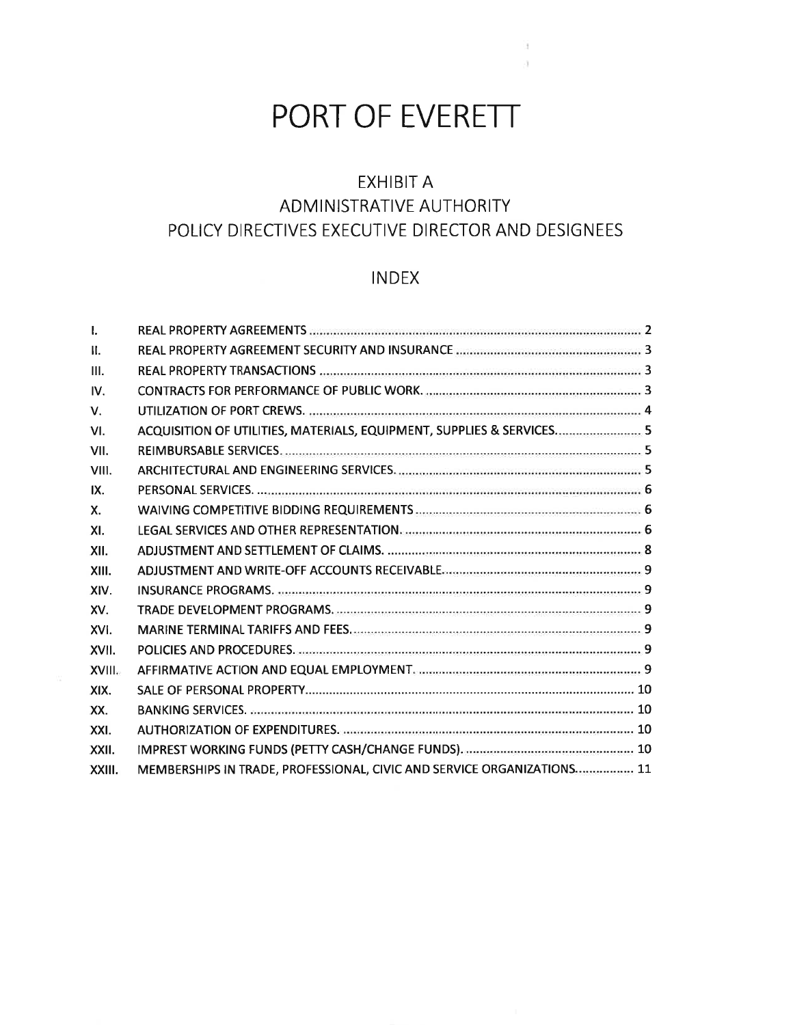# PORT OF EVERETT

 $\lambda$ 

# EXHIBIT AADMINISTRATIVE AUTHORITY POLICY DIRECTIVES EXECUTIVE DIRECTOR AND DESIGNEES

# INDEX

| $\mathbf{L}$ |                                                                        |  |
|--------------|------------------------------------------------------------------------|--|
| $\Pi$ .      |                                                                        |  |
| III.         |                                                                        |  |
| IV.          |                                                                        |  |
| $V_{\cdot}$  |                                                                        |  |
| VI.          | ACQUISITION OF UTILITIES, MATERIALS, EQUIPMENT, SUPPLIES & SERVICES 5  |  |
| VII.         |                                                                        |  |
| VIII.        |                                                                        |  |
| IX.          |                                                                        |  |
| $X_{-}$      |                                                                        |  |
| XI.          |                                                                        |  |
| XII.         |                                                                        |  |
| XIII.        |                                                                        |  |
| XIV.         |                                                                        |  |
| XV.          |                                                                        |  |
| XVI.         |                                                                        |  |
| XVII.        |                                                                        |  |
| XVIII.       |                                                                        |  |
| XIX.         |                                                                        |  |
| XX.          |                                                                        |  |
| XXI.         |                                                                        |  |
| XXII.        |                                                                        |  |
| XXIII.       | MEMBERSHIPS IN TRADE, PROFESSIONAL, CIVIC AND SERVICE ORGANIZATIONS 11 |  |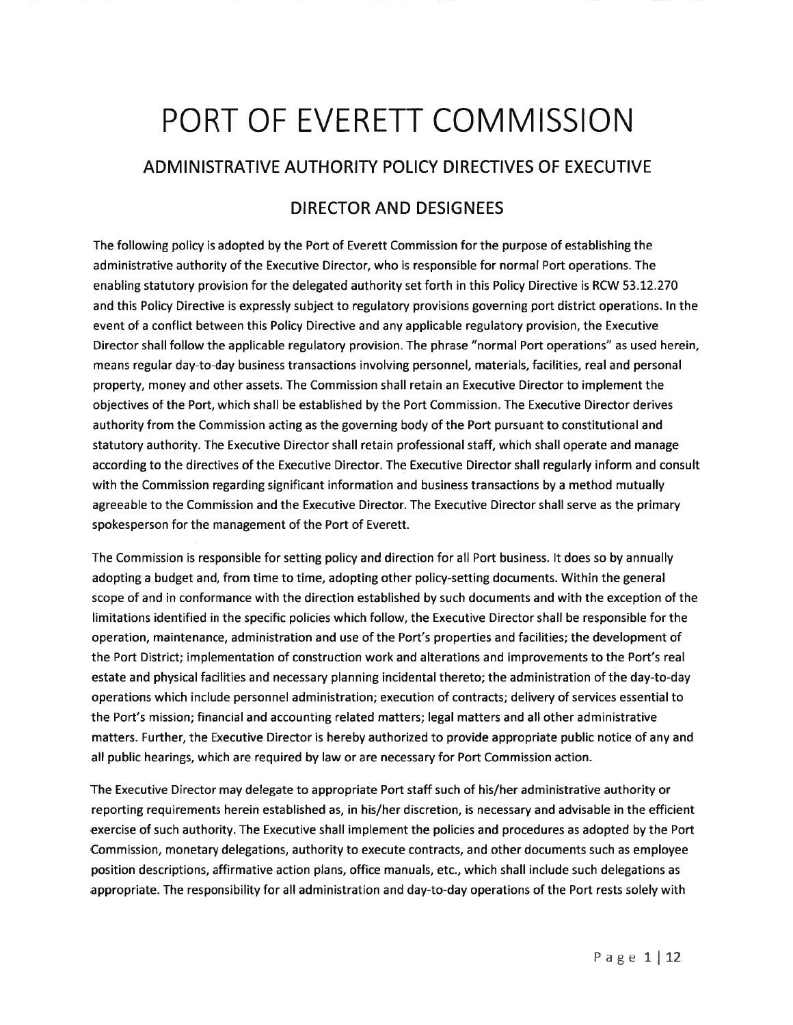# PORT OF EVERETT COMMISSION

## ADMINISTRATIVE AUTHORITY POLICY DIRECTIVES OF EXECUTIVE

## DIRECTOR AND DESIGNEES

The following policy is adopted by the Port of Everett Commission for the purpose of establishing the administrative authority of the Executive Director, who is responsible for normal Port operations. The enabling statutory provision for the delegated authority set forth in this Policy Directive is RCW 53.L2.270 and this Policy Directive is expressly subject to regulatory provisions governing port district operations. ln the event of a conflict between this Policy Directive and any applicable regulatory provision, the Executive Director shall follow the applicable regulatory provision. The phrase "normal Port operations" as used herein, means regular day-to-day business transactions involving personnel, materials, facilities, real and personal property, money and other assets. The Commission shall retain an Executive Director to implement the objectives of the Port, which shall be established by the Port Commission. The Executive Director derives authority from the Commission acting as the governing body of the Port pursuant to constitutional and statutory authority. The Executive Director shall retain professional staff, which shall operate and manage according to the directives of the Executive Director. The Executive Director shall regularly inform and consult with the Commission regarding significant information and business transactions by a method mutually agreeable to the Commission and the Executive Director. The Executive Director shall serve as the primary spokesperson for the management of the Port of Everett.

The Commission is responsible for setting policy and direction for all Port business. lt does so by annually adopting a budget and, from time to time, adopting other policy-setting documents. Within the general scope of and in conformance with the direction established by such documents and with the exception of the limitations identified in the specific policies which follow, the Executive Director shall be responsible for the operation, maintenance, administration and use of the Port's properties and facilities; the development of the Port District; implementation of construction work and alterations and improvements to the Port's real estate and physical facilities and necessary planning incidental thereto; the administration of the day-to-day operations which include personnel administration; execution of contracts; delivery of services essential to the Port's mission; financial and accounting related matters; legal matters and all other administrative matters. Further, the Executive Director is hereby authorized to provide appropriate public notice of any and all public hearings, which are required by law or are necessary for Port Commission action.

The Executive Director may delegate to appropriate Port staff such of his/her administrative authority or reporting requirements herein established as, in his/her discretion, is necessary and advisable in the efficient exercise of such authority. The Executive shall implement the policies and procedures as adopted by the Port Commission, monetary delegations, authority to execute contracts, and other documents such as employee position descriptions, affirmative action plans, office manuals, etc., which shall include such delegations as appropriate. The responsibility for all administration and day-to-day operations of the Port rests solely with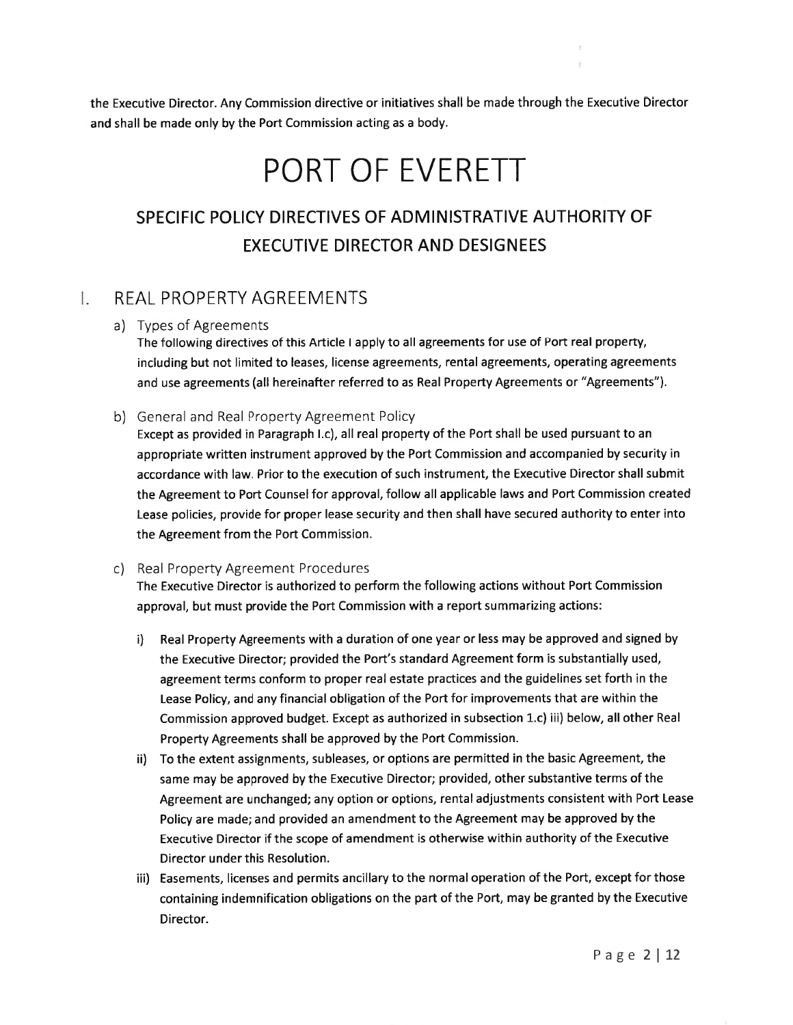the Executive Director. Any Commission directive or initiatives shall be made through the Executive Directorand shall be made only by the Port Commission acting as a body.

# PORT OF EVERETT

# SPECIFIC POLICY DIRECTIVES OF ADMINISTRATIVE AUTHORITY OFEXECUTIVE DIRECTOR AND DESIGNEES

#### REAL PROPERTY AGREEMENTS Ъ

a) Types of Agreements

 The following directives of this Article I apply to all agreements for use of Port real property, including but not limited to leases, license agreements, rental agreements, operating agreementsand use agreements (all hereinafter referred to as Real Property Agreements or "Agreements").

b) General and Real Property Agreement Policy

Except as provided in Paragraph I.c), all real property of the Port shall be used pursuant to an appropriate written instrument approved by the Port Commission and accompanied by security inaccordance with law. Prior to the execution of such instrument, the Executive Director shall submitthe Agreement to Port Counsel for approval, follow all applicable laws and Port Commission createdLease policies, provide for proper lease security and then shall have secured authority to enter intothe Agreement from the Port Commission.

c) Real Property Agreement Procedures

 The Executive Director is authorized to perform the following actions without Port Commissionapproval, but must provide the Port Commission with a report summarizing actions:

- i) Real Property Agreements with a duration of one year or less may be approved and signed bythe Executive Director; provided the Port's standard Agreement form is substantially used,agreement terms conform to proper real estate practices and the guidelines set forth in theLease Policy, and any financial obligation of the Port for improvements that are within theCommission approved budget. Except as authorized in subsection 1.c) iii) below, all other Real Property Agreements shall be approved by the Port Commission.
- ii) To the extent assignments, subleases, or options are permitted in the basic Agreement, thesame may be approved by the Executive Director; provided, other substantive terms of the Agreement are unchanged; any option or options, rental adjustments consistent with Port LeasePolicy are made; and provided an amendment to the Agreement may be approved by theExecutive Director if the scope of amendment is otherwise within authority of the ExecutiveDirector under this Resolution.
- iii) Easements, licenses and permits ancillary to the normal operation of the Port, except for thosecontaining indemnification obligations on the part of the Port, may be granted by the ExecutiveDirector.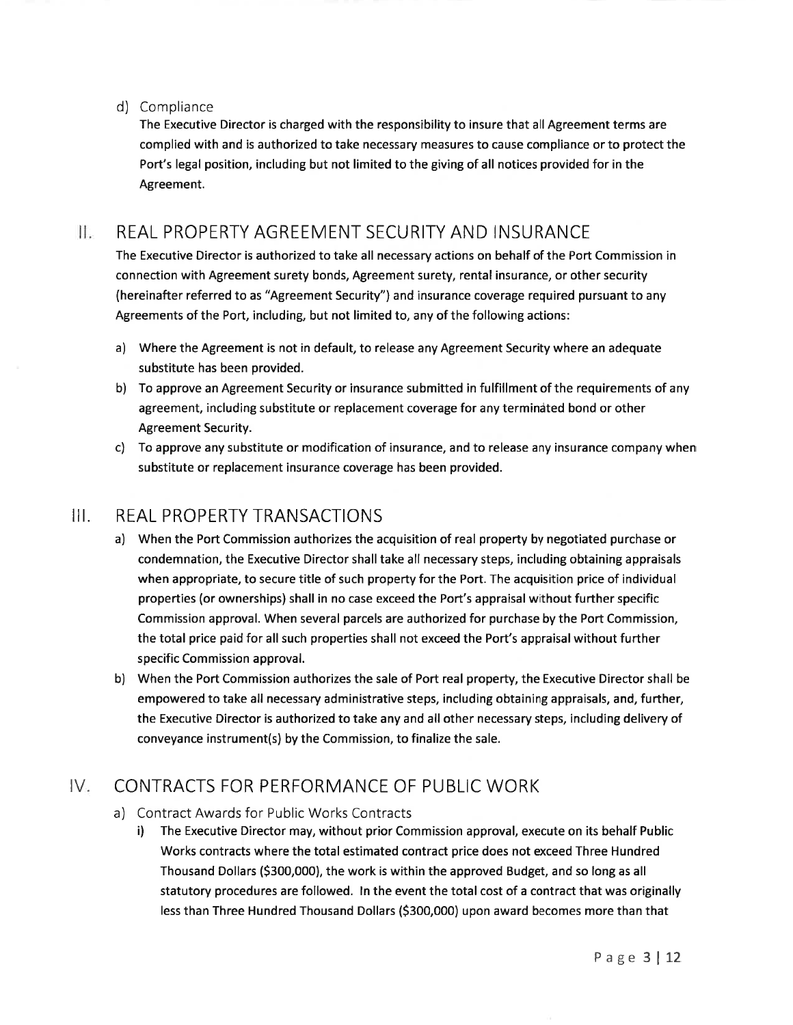### d) Compliance

The Executive Director is charged with the responsibility to insure that all Agreement terms are complied with and is authorized to take necessary measures to cause compliance or to protect the Port's legal position, including but not limited to the giving of all notices provided for in the Agreement.

#### REAL PROPERTY AGREEMENT SECURITY AND INSURANCE Ш.

The Executive Director is authorized to take all necessary actions on behalf of the Port Commission in connection with Agreement surety bonds, Agreement surety, rental insurance, or other security (hereinafter referred to as "Agreement Security") and insurance coverage required pursuant to any Agreements of the Port, including, but not limited to, any of the following actions:

- a) Where the Agreement is not in default, to release any Agreement Security where an adequate substitute has been provided.
- b) To approve an Agreement Security or insurance submitted in fulfillment of the requirements of any agreement, including substitute or replacement coverage for any termindted bond or other Agreement Security.
- c) To approve any substitute or modification of insurance, and to release any insurance company when substitute or replacement insurance coverage has been provided.

# III. REAL PROPERTY TRANSACTIONS

- a) When the Port Commission authorizes the acquisition of real property by negotiated purchase or condemnation, the Executive Director shall take all necessary steps, including obtaining appraisals when appropriate, to secure title of such property for the Port. The acquisition price of individual properties (or ownerships) shall in no case exceed the Port's appraisal without further specific Commission approval. When several parcels are authorized for purchase by the Port Commission, the total price paid for all such properties shall not exceed the Port's appraisal without further specific Commission approval.
- b) When the Port Commission authorizes the sale of Port real property, the Executive Director shall be empowered to take all necessary administrative steps, including obtaining appraisals, and, further, the Executive Director is authorized to take any and all other necessary steps, including delivery of conveyance instrument(s) by the Commission, to finalize the sale.

# IV CONTRACTS FOR PERFORMANCE OF PUBLIC WORK

a) Contract Awards for Public Works Contracts<br>i) The Executive Director may, without prior Commission approval, execute on its behalf Public Works contracts where the total estimated contract price does not exceed Three Hundred Thousand Dollars (5300,000), the work is within the approved Budget, and so long as all statutory procedures are followed. ln the event the total cost of a contract that was originally less than Three Hundred Thousand Dollars (5300,000) upon award becomes more than that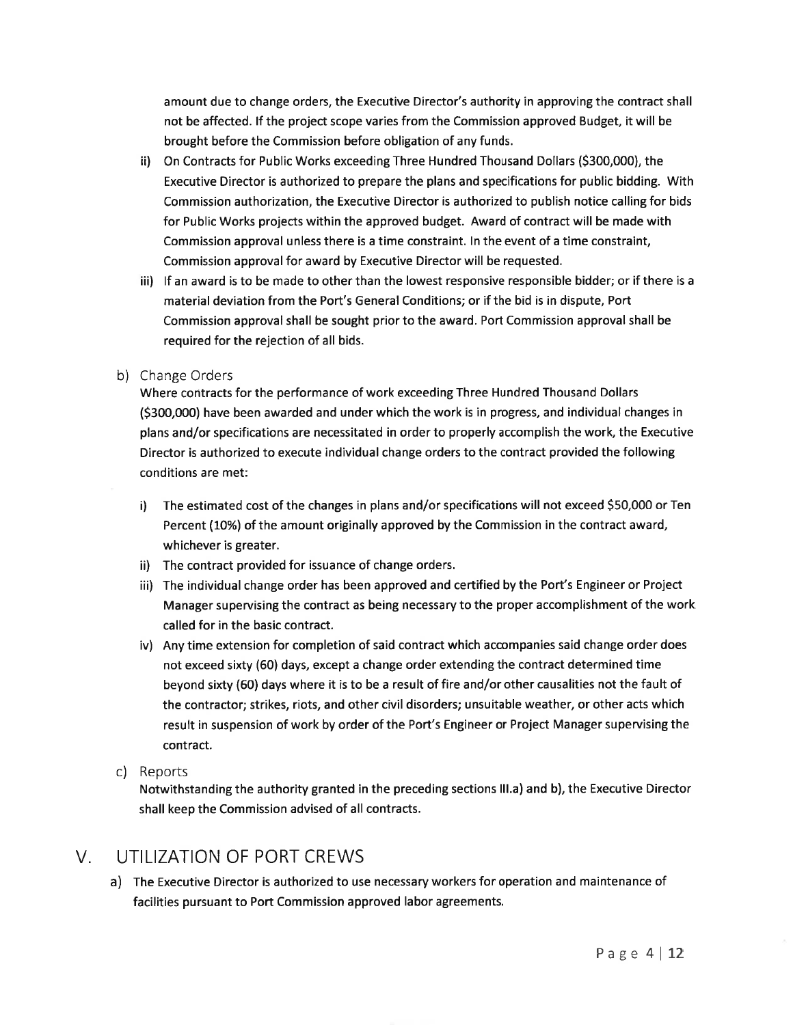amount due to change orders, the Executive Director's authority in approving the contract shall not be affected. lf the project scope varies from the Commission approved Budget, it will bebrought before the Commission before obligation of any funds.

- ii) On Contracts for Public Works exceeding Three Hundred Thousand Dollars (5300,000), theExecutive Director is authorized to prepare the plans and specifications for public bidding. WithCommission authorization, the Executive Director is authorized to publish notice calling for bidsfor Public Works projects within the approved budget. Award of contract will be made withCommission approval unless there is a time constraint. ln the event of a time constraint,Commission approval for award by Executive Director will be requested.
- iii) lf an award is to be made to other than the lowest responsive responsible bidder; or if there is amaterial deviation from the Port's General Conditions; or if the bid is in dispute, PortCommission approval shall be sought prior to the award. Port Commission approval shall berequired for the rejection of all bids.

### b) Change Orders

 Where contracts for the performance of work exceeding Three Hundred Thousand Dollars(5300,000) have been awarded and under which the work is in progress, and individual changes inplans and/or specifications are necessitated in order to properly accomplish the work, the ExecutiveDirector is authorized to execute individual change orders to the contract provided the followingconditions are met:

- i) The estimated cost of the changes in plans and/or specifications will not exceed 550,000 or TenPercent (10%) of the amount originally approved by the Commission in the contract award,whichever is greater.
- ii) The contract provided for issuance of change orders.
- iii) The individual change order has been approved and certified by the Port's Engineer or Project Manager supervising the contract as being necessary to the proper accomplishment of the workcalled for in the basic contract.
- iv) Any time extension for completion of said contract which accompanies said change order doesnot exceed sixty (60) days, except a change order extending the contract determined timebeyond sixty (60) days where it is to be a result of fire and/or other causalities not the fault ofthe contractor; strikes, riots, and other civil disorders; unsuitable weather, or other acts whichresult in suspension of work by order of the Port's Engineer or Project Manager supervising thecontract.
- c) Reports

 Notwithstanding the authority granted in the preceding sections lll.a) and b), the Executive Directorshall keep the Commission advised of all contracts.

## V. UTILIZATION OF PORT CREWS

 a) The Executive Director is authorized to use necessary workers for operation and maintenance of facilities pursuant to Port Commission approved labor agreements.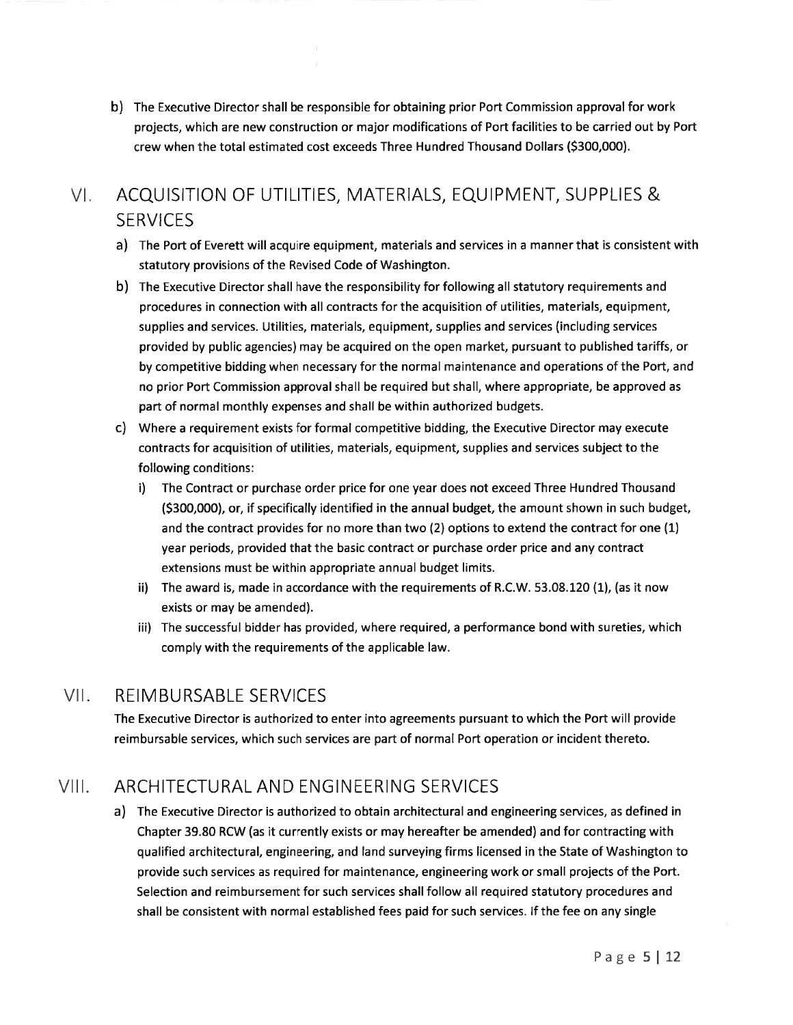b) The Executive Director shall be responsible for obtaining prior Port Commission approval for work projects, which are new construction or major modifications of Port facilities to be carried out by Port crew when the total estimated cost exceeds Three Hundred Thousand Dollars (5300,000).

### $V<sub>z</sub>$ ACQUISITION OF UTILITIES, MATERIALS, EQUIPMENT, SUPPLIES & **SERVICES**

- a) The Port of Everett will acquire equipment, materials and services in a manner that is consistent with statutory provisions of the Revised Code of Washington.
- b) The Executive Director shall have the responsibility for following all statutory requirements and procedures in connection with all contracts for the acquisition of utilities, materials, equipment, supplies and services. Utilities, materials, equipment, supplies and services (including services provided by public agencies) may be acquired on the open market, pursuant to published tariffs, or by competitive bidding when necessary for the normal maintenance and operations of the Port, and no prior Port Commission approval shall be required but shall, where appropriate, be approved as part of normal monthly expenses and shall be within authorized budgets.
- c) Where a requirement exists for formal competitive bidding, the Executive Director may execute contracts for acquisition of utilities, materials, equipment, supplies and services subject to the following conditions:
	- i) The Contract or purchase order price for one year does not exceed Three Hundred Thousand (\$300,000), or, if specifically identified in the annual budget, the amount shown in such budget, and the contract provides for no more than two (2) options to extend the contract for one (1) year periods, provided that the basic contract or purchase order price and any contract extensions must be within appropriate annual budget limits.
	- ii) The award is, made in accordance with the requirements of R.C.W. 53.08.120 (1), (as it now exists or may be amended).
	- iii) The successful bidder has provided, where required, a performance bond with sureties, which comply with the requirements of the applicable law.

#### $V||_1$ REIMBURSABLE SERVICES

The Executive Director is authorized to enter into agreements pursuant to which the Port will provide reimbursable services, which such services are part of normal Port operation or incident thereto.

#### $VIII.$ ARCHITECTURAL AND ENGINEERING SERVICES

a) The Executive Director is authorized to obtain architectural and engineering services, as defined in Chapter 39.80 RCW (as it currently exists or may hereafter be amended) and for contracting with qualified architectural, engineering, and land surveying firms licensed in the State of Washington to provide such services as required for maintenance, engineering work or small projects of the Port. Selection and reimbursement for such services shall follow all required statutory procedures and shall be consistent with normal established fees paid for such services. lf the fee on any single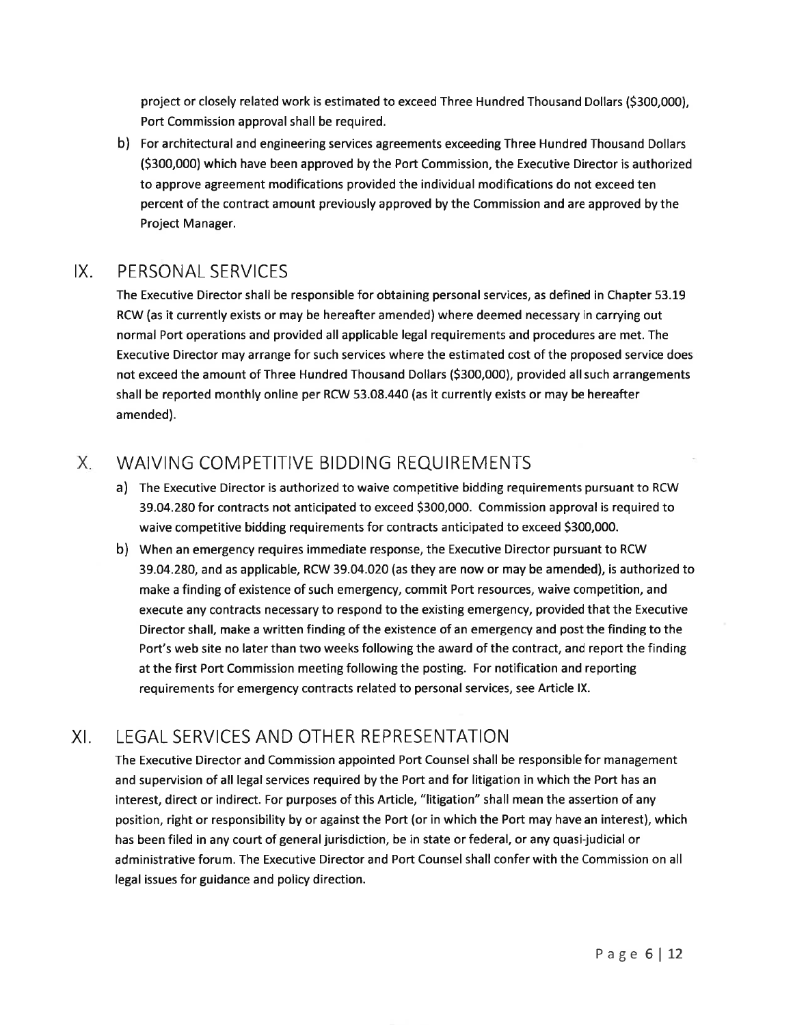project or closely related work is estimated to exceed Three Hundred Thousand Dollars (5300,000),Port Commission approval shall be required.

b) For architectural and engineering services agreements exceeding Three Hundred Thousand Dollars(5300,000) which have been approved by the Port Commission, the Executive Director is authorizedto approve agreement modifications provided the individual modifications do not exceed ten percent of the contract amount previously approved by the Commission and are approved by theProject Manager.

# IX. PERSONAL SERVICES

 The Executive Director shall be responsible for obtaining personal services, as defined in Chapter 53.19RCW (as it currently exists or may be hereafter amended) where deemed necessary in carrying outnormal Port operations and provided all applicable legal requirements and procedures are met. TheExecutive Director may arrange for such services where the estimated cost of the proposed service doesnot exceed the amount of Three Hundred Thousand Dollars (5300,000), provided all such arrangementsshall be reported monthly online per RCW 53.08.440 (as it currently exists or may be hereafteramended).

### $X_{-}$ WAIVING COMPETITIVE BIDDING REQUIREMENTS

- a) The Executive Director is authorized to waive competitive bidding requirements pursuant to RCW 39.04.280 for contracts not anticipated to exceed 5300,000. Commission approval is required towaive competitive bidding requirements for contracts anticipated to exceed 5300,000.
- b) When an emergency requires immediate response, the Executive Director pursuant to RCW 39.04.280, and as applicable, RCW 39.04.020 (as they are now or may be amended), is authorized tomake a finding of existence of such emergency, commit Port resources, waive competition, andexecute any contracts necessary to respond to the existing emergency, provided that the ExecutiveDirector shall, make a written finding of the existence of an emergency and post the finding to thePort's web site no later than two weeks following the award of the contract, and report the finding at the first Port Commission meeting following the posting. For notification and reportingrequirements for emergency contracts related to personal services, see Article lX.

# XI. LEGAL SERVICES AND OTHER REPRESENTATION

 The Executive Director and Commission appointed Port Counsel shall be responsible for managementand supervision of all legal services required by the Port and for litigation in which the Port has aninterest, direct or indirect. For purposes of this Article, "litigation" shall mean the assertion of anyposition, right or responsibility by or against the Port (or in which the Port may have an interest), whichhas been filed in any court of general jurisdiction, be in state or federal, or any quasi-judicial or administrative forum. The Executive Director and Port Counsel shall confer with the Commission on alllegal issues for guidance and policy direction.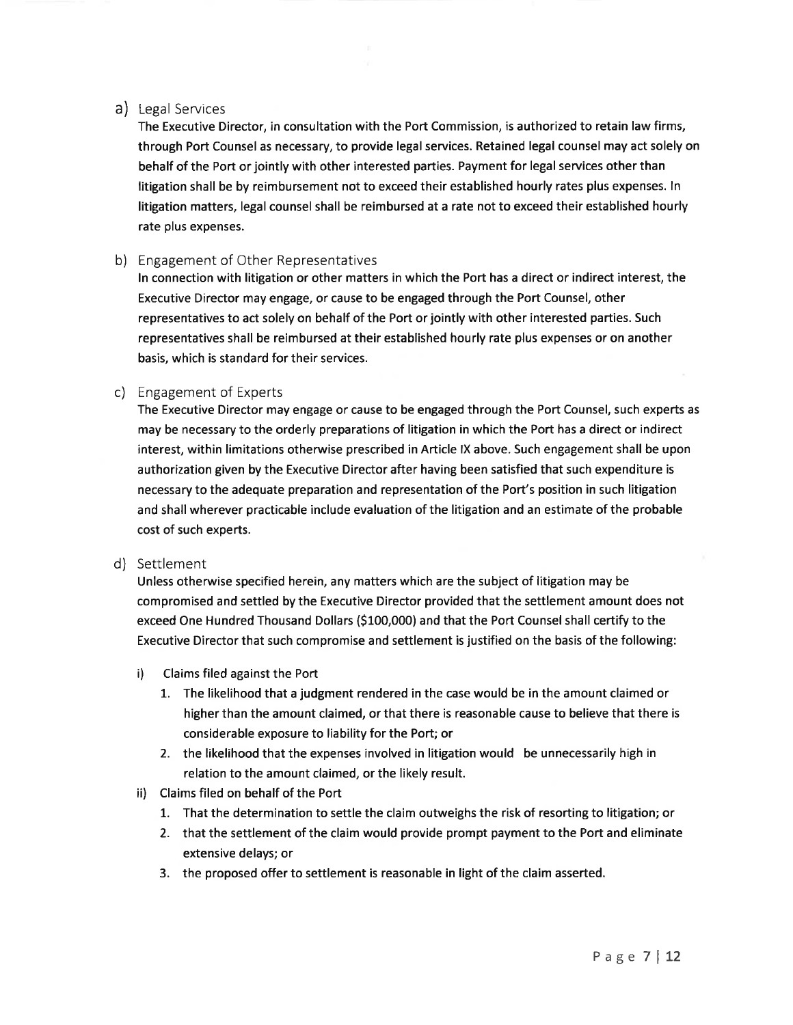### a) Legal Services

The Executive Director, in consultation with the Port Commission, is authorized to retain law firms, through Port Counsel as necessary, to provide legal services. Retained legal counsel may act solely on behalf of the Port or jointly with other interested parties. Payment for legal services other than litigation shall be by reimbursement not to exceed their established hourly rates plus expenses. ln litigation matters, legal counsel shall be reimbursed at a rate not to exceed their established hourly rate plus expenses.

### b) Engagement of Other Representatives

ln connection with litigation or other matters in which the Port has a direct or indirect interest, the Executive Director may engage, or cause to be engaged through the Port Counsel, other representatives to act solely on behalf of the Port or jointly with other interested parties. Such representatives shall be reimbursed at their established hourly rate plus expenses or on another basis, which is standard for their services.

### c) Engagement of Experts

The Executive Director may engage or cause to be engaged through the Port Counsel, such experts as may be necessary to the orderly preparations of litigation in which the Port has a direct or indirect interest, within limitations otherwise prescribed in Article lX above. Such engagement shall be upon authorization given by the Executive Director after having been satisfied that such expenditure is necessary to the adequate preparation and representation of the Port's position in such litigation and shall wherever practicable include evaluation of the litigation and an estimate of the probable cost of such experts.

### d) Settlement

Unless otherwise specified herein, any matters which are the subject of litigation may be compromised and settled by the Executive Director provided that the settlement amount does not exceed One Hundred Thousand Dollars (5100,000) and that the Port Counsel shall certify to the Executive Director that such compromise and settlement is justified on the basis of the following:

- i) Claims filed against the Port
	- 1. The likelihood that a judgment rendered in the case would be in the amount claimed or higher than the amount claimed, or that there is reasonable cause to believe that there is considerable exposure to liability for the Port; or
	- 2. the likelihood that the expenses involved in litigation would be unnecessarily high in relation to the amount claimed, or the likely result.
- ii) Claims filed on behalf of the Port
	- 1. That the determination to settle the claim outweighs the risk of resorting to litigation; or
	- 2. that the settlement of the claim would provide prompt payment to the Port and eliminate extensive delays; or
	- 3. the proposed offer to settlement is reasonable in light of the claim asserted.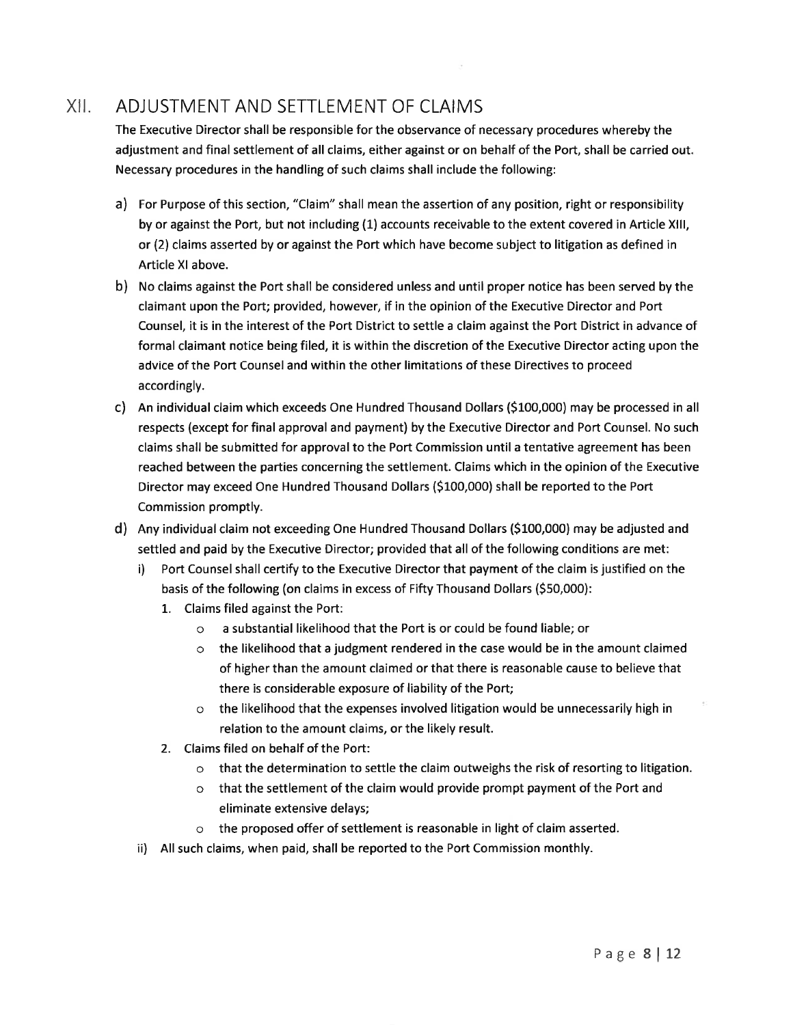#### xil.ADJUSTMENT AND SETTLEMENT OF CLAIMS

 The Executive Director shall be responsible for the observance of necessary procedures whereby the adjustment and final settlement of all claims, either against or on behalf of the Port, shall be carried out.Necessary procedures in the handling of such claims shall include the following:

- a) For Purpose of this section, "Claim" shall mean the assertion of any position, right or responsibilityby or against the Port, but not including (1) accounts receivable to the extent covered in Article XIII, or (2) claims asserted by or against the Port which have become subject to litigation as defined inArticle Xl above.
- b) No claims against the Port shall be considered unless and until proper notice has been served by theclaimant upon the Port; provided, however, if in the opinion of the Executive Director and PortCounsel, it is in the interest of the Port District to settle a claim against the Port District in advance offormal claimant notice being filed, it is within the discretion of the Executive Director acting upon theadvice of the Port Counsel and within the other limitations of these Directives to proceed accordingly.
- c) An individual claim which exceeds One Hundred Thousand Dollars (5100,000) may be processed in all respects (except for final approval and payment) by the Executive Director and Port Counsel. No such claims shall be submitted for approval to the Port Commission until a tentative agreement has beenreached between the parties concerning the settlement. Claims which in the opinion of the ExecutiveDirector may exceed One Hundred Thousand Dollars (S100,000) shall be reported to the PortCommission promptly.
- d) Any individual claim not exceeding One Hundred Thousand Dollars (S100,000) may be adjusted andsettled and paid by the Executive Director; provided that all of the following conditions are met:
	- i) Port Counsel shall certify to the Executive Director that payment of the claim is justified on thebasis of the following (on claims in excess of Fifty Thousand Dollars (550,000):
		- L. Claims filed against the Port:
			- o a substantial likelihood that the Port is or could be found liable; or
			- $\circ$  the likelihood that a judgment rendered in the case would be in the amount claimed of higher than the amount claimed or that there is reasonable cause to believe thatthere is considerable exposure of liability of the Port;
			- o the likelihood that the expenses involved litigation would be unnecessarily high inrelation to the amount claims, or the likely result.
		- 2. Claims filed on behalf of the Port:
			- o that the determination to settle the claim outweighs the risk of resorting to litigation.
			- o that the settlement of the claim would provide prompt payment of the Port andeliminate extensive delays;
			- o the proposed offer of settlement is reasonable in light of claim asserted.
	- ii) All such claims, when paid, shall be reported to the Port Commission monthly.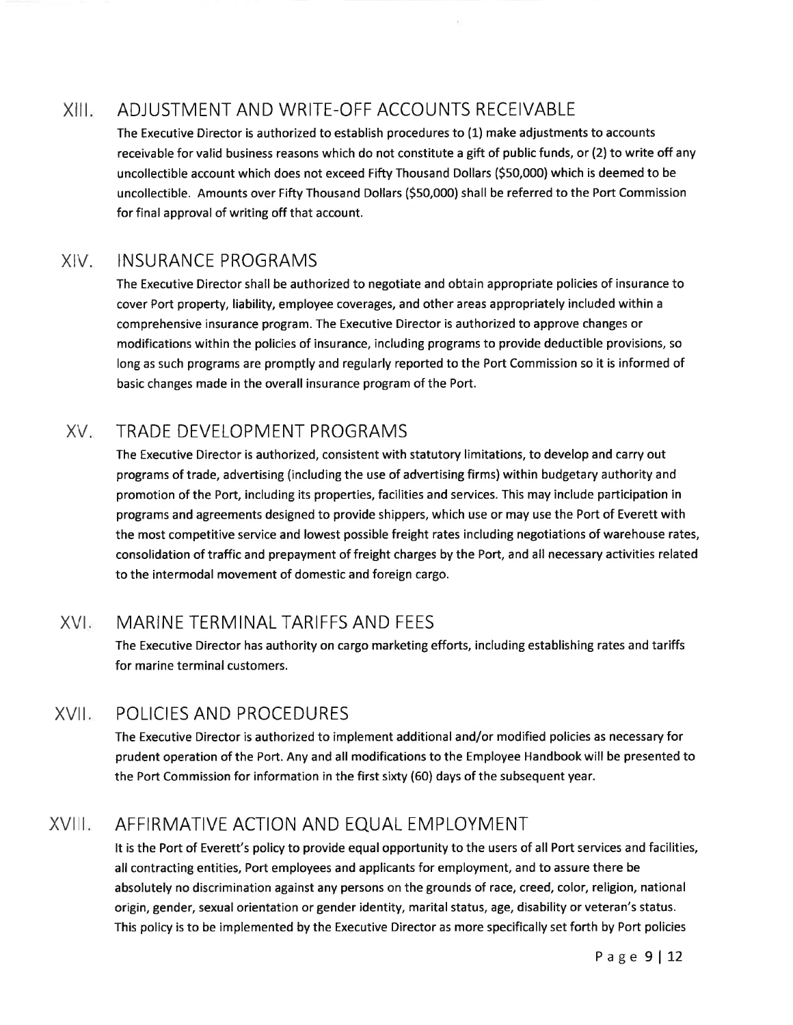### xilr ADJUSTMENT AND WRITE-OFF ACCOUNTS RECEIVABLE

The Executive Director is authorized to establish procedures to (1) make adjustments to accounts receivable for valid business reasons which do not constitute a gift of public funds, or (2) to write off any uncollectible account which does not exceed Fifty Thousand Dollars (550,000) which is deemed to be uncollectible. Amounts over Fifty Thousand Dollars (550,000) shall be referred to the Port Commission for final approval of writing off that account.

#### XIV INSURANCE PROGRAMS

The Executive Director shall be authorized to negotiate and obtain appropriate policies of insurance to cover Port property, liability, employee coverages, and other areas appropriately included within a comprehensive insurance program. The Executive Director is authorized to approve changes or modifications within the policies of insurance, including programs to provide deductible provisions, so long as such programs are promptly and regularly reported to the Port Commission so it is informed of basic changes made in the overall insurance program of the Port.

#### XV. TRADE DEVELOPMENT PROGRAMS

The Executive Director is authorized, consistent with statutory limitations, to develop and carry out programs of trade, advertising (including the use of advertising firms) within budgetary authority and promotion of the Port, including its properties, facilities and services. This may include participation in programs and agreements designed to provide shippers, which use or may use the Port of Everett with the most competitive service and lowest possible freight rates including negotiations of warehouse rates, consolidation of traffic and prepayment of freight charges by the Port, and all necessary activities related to the intermodal movement of domestic and foreign cargo.

### XVI MARINE TERMINAL TARIFFS AND FEES

The Executive Director has authority on cargo marketing efforts, including establishing rates and tariffs for marine terminal customers.

### XVII POLICIES AND PROCEDURES

The Executive Director is authorized to implement additional and/or modified policies as necessary for prudent operation of the Port. Any and all modifications to the Employee Handbook will be presented to the Port Commission for information in the first sixty (60) days of the subsequent year.

### XVIII AFFIRMATIVE ACTION AND EQUAL EMPLOYMENT

It is the Port of Everett's policy to provide equal opportunity to the users of all Port services and facilities, all contracting entities, Port employees and applicants for employment, and to assure there be absolutely no discrimination against any persons on the grounds of race, creed, color, religion, national origin, gender, sexual orientation or gender identity, marital status, age, disability or veteran's status. This policy is to be implemented by the Executive Director as more specifically set forth by Port policies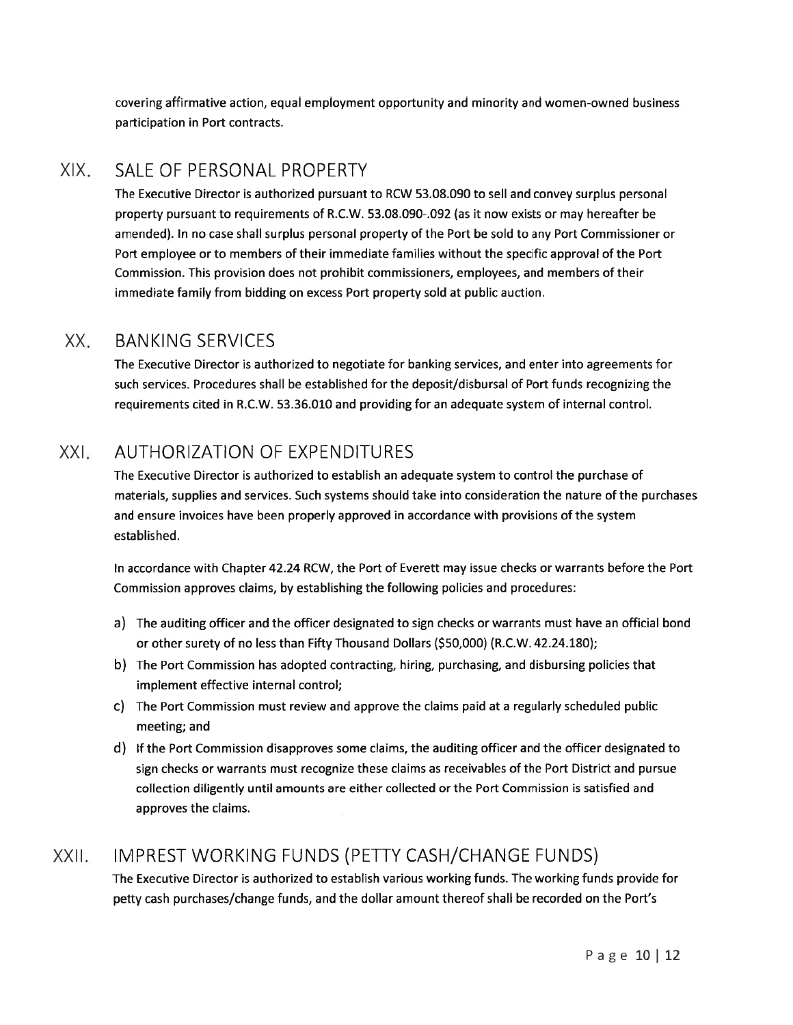covering affirmative action, equal employment opportunity and minority and women-owned businessparticipation in Port contracts.

#### XIXSALE OF PERSONAL PROPERTY

 The Executive Director is authorized pursuant to RCW 53.08.090 to sell and convey surplus personal property pursuant to requirements of R.C.W. 53.08.090-.092 (as it now exists or may hereafter beamended). ln no case shall surplus personal property of the Port be sold to any Port Commissioner orPort employee or to members of their immediate families without the specific approval of the PortCommission. This provision does not prohibit commissioners, employees, and members of theirimmediate family from bidding on excess Port property sold at public auction.

#### XXBANKING SERVICES

 The Executive Director is authorized to negotiate for banking services, and enter into agreements forsuch services. Procedures shall be established for the deposit/disbursal of Port funds recognizing therequirements cited in R.C.W. 53.36.010 and providing for an adequate system of internal control.

### XXIAUTHORIZATION OF EXPENDITURES

The Executive Director is authorized to establish an adequate system to control the purchase ofmaterials, supplies and services. Such systems should take into consideration the nature of the purchasesand ensure invoices have been properly approved in accordance with provisions of the systemestablished.

ln accordance with Chapter 42.24 RCW, the Port of Everett may issue checks or warrants before the PortCommission approves claims, by establishing the following policies and procedures:

- a) The auditing officer and the officer designated to sign checks or warrants must have an official bondor other surety of no less than Fifty Thousand Dollars (\$50,000) (R.C.W. 42.24.7801;
- b) The Port Commission has adopted contracting, hiring, purchasing, and disbursing policies that implement effective internal control;
- c) The Port Commission must review and approve the claims paid at a regularly scheduled publicmeeting; and
- d) lf the Port Commission disapproves some claims, the auditing officer and the officer designated to sign checks or warrants must recognize these claims as receivables of the Port District and pursuecollection diligently until amounts are either collected or the Port Commission is satisfied andapproves the claims.

### IMPREST WORKING FUNDS (PETTY CASH/CHANGE FUNDS) $XXII$ .

The Executive Director is authorized to establish various working funds. The working funds provide forpetty cash purchases/change funds, and the dollar amount thereof shall be recorded on the Port's